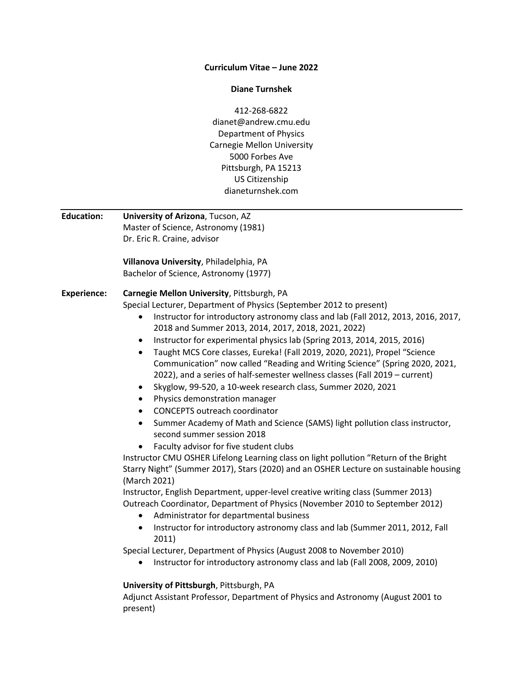#### **Curriculum Vitae – June 2022**

#### **Diane Turnshek**

412-268-6822 dianet@andrew.cmu.edu Department of Physics Carnegie Mellon University 5000 Forbes Ave Pittsburgh, PA 15213 US Citizenship dianeturnshek.com

**Education: University of Arizona**, Tucson, AZ Master of Science, Astronomy (1981) Dr. Eric R. Craine, advisor **Villanova University**, Philadelphia, PA Bachelor of Science, Astronomy (1977) **Experience: Carnegie Mellon University**, Pittsburgh, PA Special Lecturer, Department of Physics (September 2012 to present) • Instructor for introductory astronomy class and lab (Fall 2012, 2013, 2016, 2017, 2018 and Summer 2013, 2014, 2017, 2018, 2021, 2022) Instructor for experimental physics lab (Spring 2013, 2014, 2015, 2016) Taught MCS Core classes, Eureka! (Fall 2019, 2020, 2021), Propel "Science Communication" now called "Reading and Writing Science" (Spring 2020, 2021, 2022), and a series of half-semester wellness classes (Fall 2019 – current) • Skyglow, 99-520, a 10-week research class, Summer 2020, 2021 Physics demonstration manager CONCEPTS outreach coordinator • Summer Academy of Math and Science (SAMS) light pollution class instructor, second summer session 2018 Faculty advisor for five student clubs Instructor CMU OSHER Lifelong Learning class on light pollution "Return of the Bright Starry Night" (Summer 2017), Stars (2020) and an OSHER Lecture on sustainable housing (March 2021) Instructor, English Department, upper-level creative writing class (Summer 2013) Outreach Coordinator, Department of Physics (November 2010 to September 2012) Administrator for departmental business • Instructor for introductory astronomy class and lab (Summer 2011, 2012, Fall 2011) Special Lecturer, Department of Physics (August 2008 to November 2010) Instructor for introductory astronomy class and lab (Fall 2008, 2009, 2010) **University of Pittsburgh**, Pittsburgh, PA

Adjunct Assistant Professor, Department of Physics and Astronomy (August 2001 to present)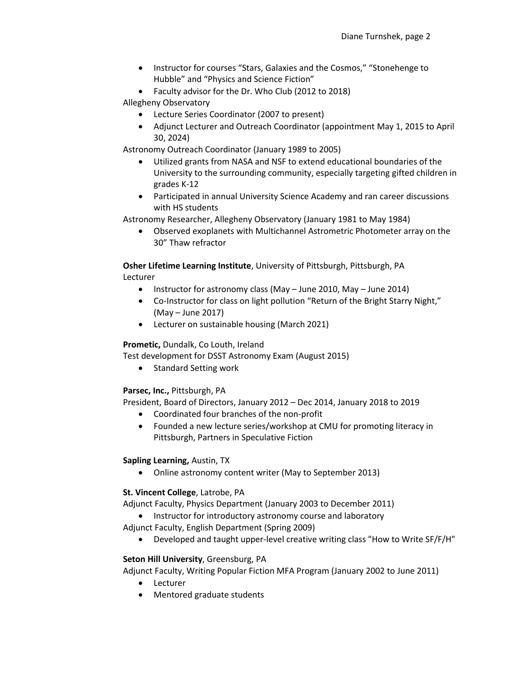- Instructor for courses "Stars, Galaxies and the Cosmos," "Stonehenge to Hubble" and "Physics and Science Fiction"
- Faculty advisor for the Dr. Who Club (2012 to 2018)

Allegheny Observatory

- Lecture Series Coordinator (2007 to present)
- Adjunct Lecturer and Outreach Coordinator (appointment May 1, 2015 to April 30, 2024)

Astronomy Outreach Coordinator (January 1989 to 2005)

- Utilized grants from NASA and NSF to extend educational boundaries of the University to the surrounding community, especially targeting gifted children in grades K-12
- Participated in annual University Science Academy and ran career discussions with HS students

Astronomy Researcher, Allegheny Observatory (January 1981 to May 1984)

 Observed exoplanets with Multichannel Astrometric Photometer array on the 30" Thaw refractor

**Osher Lifetime Learning Institute**, University of Pittsburgh, Pittsburgh, PA Lecturer

- Instructor for astronomy class (May June 2010, May June 2014)
- Co-Instructor for class on light pollution "Return of the Bright Starry Night," (May – June 2017)
- Lecturer on sustainable housing (March 2021)

**Prometic,** Dundalk, Co Louth, Ireland

Test development for DSST Astronomy Exam (August 2015)

• Standard Setting work

### **Parsec, Inc.,** Pittsburgh, PA

President, Board of Directors, January 2012 – Dec 2014, January 2018 to 2019

- Coordinated four branches of the non-profit
- Founded a new lecture series/workshop at CMU for promoting literacy in Pittsburgh, Partners in Speculative Fiction

#### **Sapling Learning,** Austin, TX

Online astronomy content writer (May to September 2013)

#### **St. Vincent College**, Latrobe, PA

Adjunct Faculty, Physics Department (January 2003 to December 2011)

• Instructor for introductory astronomy course and laboratory

Adjunct Faculty, English Department (Spring 2009)

Developed and taught upper-level creative writing class "How to Write SF/F/H"

### **Seton Hill University**, Greensburg, PA

Adjunct Faculty, Writing Popular Fiction MFA Program (January 2002 to June 2011)

- Lecturer
- Mentored graduate students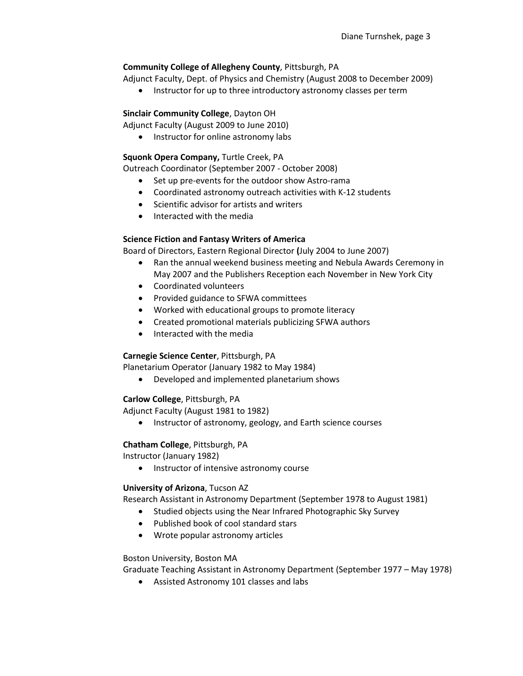# **Community College of Allegheny County**, Pittsburgh, PA

Adjunct Faculty, Dept. of Physics and Chemistry (August 2008 to December 2009)

• Instructor for up to three introductory astronomy classes per term

## **Sinclair Community College**, Dayton OH

Adjunct Faculty (August 2009 to June 2010)

• Instructor for online astronomy labs

### **Squonk Opera Company,** Turtle Creek, PA

Outreach Coordinator (September 2007 - October 2008)

- Set up pre-events for the outdoor show Astro-rama
- Coordinated astronomy outreach activities with K-12 students
- Scientific advisor for artists and writers
- Interacted with the media

# **Science Fiction and Fantasy Writers of America**

Board of Directors, Eastern Regional Director **(**July 2004 to June 2007)

- Ran the annual weekend business meeting and Nebula Awards Ceremony in May 2007 and the Publishers Reception each November in New York City
- Coordinated volunteers
- Provided guidance to SFWA committees
- Worked with educational groups to promote literacy
- Created promotional materials publicizing SFWA authors
- Interacted with the media

### **Carnegie Science Center**, Pittsburgh, PA

Planetarium Operator (January 1982 to May 1984)

Developed and implemented planetarium shows

### **Carlow College**, Pittsburgh, PA

Adjunct Faculty (August 1981 to 1982)

• Instructor of astronomy, geology, and Earth science courses

### **Chatham College**, Pittsburgh, PA

Instructor (January 1982)

• Instructor of intensive astronomy course

### **University of Arizona**, Tucson AZ

Research Assistant in Astronomy Department (September 1978 to August 1981)

- Studied objects using the Near Infrared Photographic Sky Survey
- Published book of cool standard stars
- Wrote popular astronomy articles

### Boston University, Boston MA

Graduate Teaching Assistant in Astronomy Department (September 1977 – May 1978)

Assisted Astronomy 101 classes and labs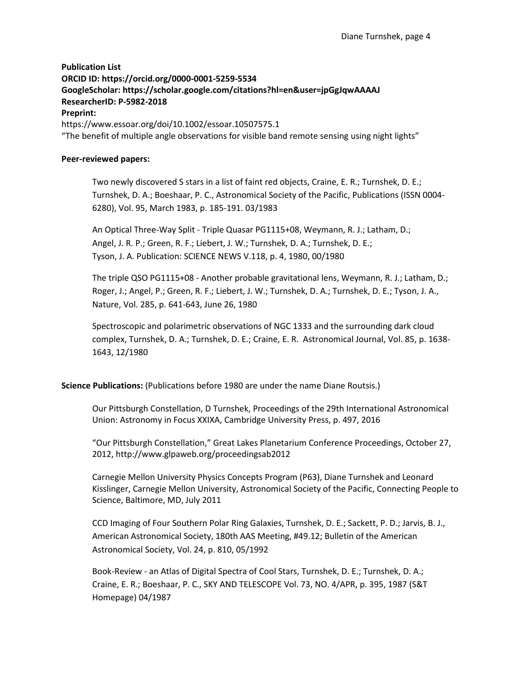# **Publication List ORCID ID:<https://orcid.org/0000-0001-5259-5534> GoogleScholar: https://scholar.google.com/citations?hl=en&user=jpGgJqwAAAAJ ResearcherID: P-5982-2018 Preprint:** https://www.essoar.org/doi/10.1002/essoar.10507575.1 "The benefit of multiple angle observations for visible band remote sensing using night lights"

#### **Peer-reviewed papers:**

Two newly discovered S stars in a list of faint red objects, Craine, E. R.; Turnshek, D. E.; Turnshek, D. A.; Boeshaar, P. C., Astronomical Society of the Pacific, Publications (ISSN 0004- 6280), Vol. 95, March 1983, p. 185-191. 03/1983

An Optical Three-Way Split - Triple Quasar PG1115+08, Weymann, R. J.; Latham, D.; Angel, J. R. P.; Green, R. F.; Liebert, J. W.; Turnshek, D. A.; Turnshek, D. E.; Tyson, J. A. Publication: SCIENCE NEWS V.118, p. 4, 1980, 00/1980

The triple QSO PG1115+08 - Another probable gravitational lens, Weymann, R. J.; Latham, D.; Roger, J.; Angel, P.; Green, R. F.; Liebert, J. W.; Turnshek, D. A.; Turnshek, D. E.; Tyson, J. A., Nature, Vol. 285, p. 641-643, June 26, 1980

Spectroscopic and polarimetric observations of NGC 1333 and the surrounding dark cloud complex, Turnshek, D. A.; Turnshek, D. E.; Craine, E. R. Astronomical Journal, Vol. 85, p. 1638- 1643, 12/1980

### **Science Publications:** (Publications before 1980 are under the name Diane Routsis.)

Our Pittsburgh Constellation, D Turnshek, Proceedings of the 29th International Astronomical Union: Astronomy in Focus XXIXA, Cambridge University Press, p. 497, 2016

"Our Pittsburgh Constellation," Great Lakes Planetarium Conference Proceedings, October 27, 2012, http://www.glpaweb.org/proceedingsab2012

Carnegie Mellon University Physics Concepts Program (P63), Diane Turnshek and Leonard Kisslinger, Carnegie Mellon University, Astronomical Society of the Pacific, Connecting People to Science, Baltimore, MD, July 2011

CCD Imaging of Four Southern Polar Ring Galaxies, Turnshek, D. E.; Sackett, P. D.; Jarvis, B. J., American Astronomical Society, 180th AAS Meeting, #49.12; Bulletin of the American Astronomical Society, Vol. 24, p. 810, 05/1992

Book-Review - an Atlas of Digital Spectra of Cool Stars, Turnshek, D. E.; Turnshek, D. A.; Craine, E. R.; Boeshaar, P. C., SKY AND TELESCOPE Vol. 73, NO. 4/APR, p. 395, 1987 [\(S&T](http://www.skypub.org/)  [Homepage\)](http://www.skypub.org/) 04/1987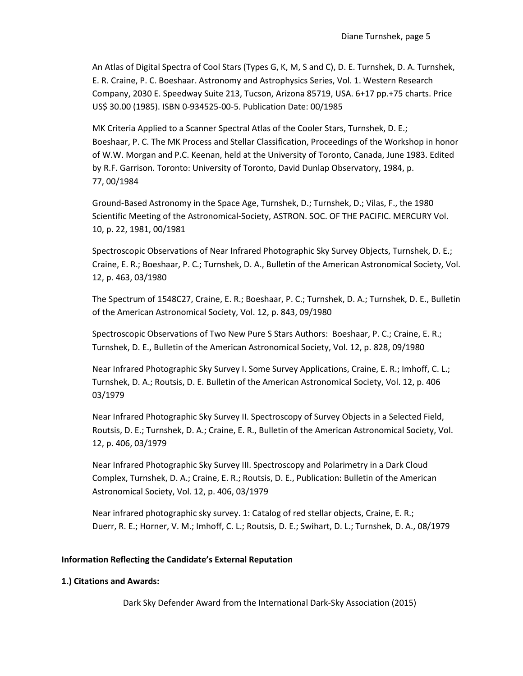An Atlas of Digital Spectra of Cool Stars (Types G, K, M, S and C), D. E. Turnshek, D. A. Turnshek, E. R. Craine, P. C. Boeshaar. Astronomy and Astrophysics Series, Vol. 1. Western Research Company, 2030 E. Speedway Suite 213, Tucson, Arizona 85719, USA. 6+17 pp.+75 charts. Price US\$ 30.00 (1985). ISBN 0-934525-00-5. Publication Date: 00/1985

MK Criteria Applied to a Scanner Spectral Atlas of the Cooler Stars, Turnshek, D. E.; Boeshaar, P. C. The MK Process and Stellar Classification, Proceedings of the Workshop in honor of W.W. Morgan and P.C. Keenan, held at the University of Toronto, Canada, June 1983. Edited by R.F. Garrison. Toronto: University of Toronto, David Dunlap Observatory, 1984, p. 77, 00/1984

Ground-Based Astronomy in the Space Age, Turnshek, D.; Turnshek, D.; Vilas, F., the 1980 Scientific Meeting of the Astronomical-Society, ASTRON. SOC. OF THE PACIFIC. MERCURY Vol. 10, p. 22, 1981, 00/1981

Spectroscopic Observations of Near Infrared Photographic Sky Survey Objects, Turnshek, D. E.; Craine, E. R.; Boeshaar, P. C.; Turnshek, D. A., Bulletin of the American Astronomical Society, Vol. 12, p. 463, 03/1980

The Spectrum of 1548C27, Craine, E. R.; Boeshaar, P. C.; Turnshek, D. A.; Turnshek, D. E., Bulletin of the American Astronomical Society, Vol. 12, p. 843, 09/1980

Spectroscopic Observations of Two New Pure S Stars Authors: Boeshaar, P. C.; Craine, E. R.; Turnshek, D. E., Bulletin of the American Astronomical Society, Vol. 12, p. 828, 09/1980

Near Infrared Photographic Sky Survey I. Some Survey Applications, Craine, E. R.; Imhoff, C. L.; Turnshek, D. A.; Routsis, D. E. Bulletin of the American Astronomical Society, Vol. 12, p. 406 03/1979

Near Infrared Photographic Sky Survey II. Spectroscopy of Survey Objects in a Selected Field, Routsis, D. E.; Turnshek, D. A.; Craine, E. R., Bulletin of the American Astronomical Society, Vol. 12, p. 406, 03/1979

Near Infrared Photographic Sky Survey III. Spectroscopy and Polarimetry in a Dark Cloud Complex, Turnshek, D. A.; Craine, E. R.; Routsis, D. E., Publication: Bulletin of the American Astronomical Society, Vol. 12, p. 406, 03/1979

Near infrared photographic sky survey. 1: Catalog of red stellar objects, Craine, E. R.; Duerr, R. E.; Horner, V. M.; Imhoff, C. L.; Routsis, D. E.; Swihart, D. L.; Turnshek, D. A., 08/1979

### **Information Reflecting the Candidate's External Reputation**

#### **1.) Citations and Awards:**

Dark Sky Defender Award from the International Dark-Sky Association (2015)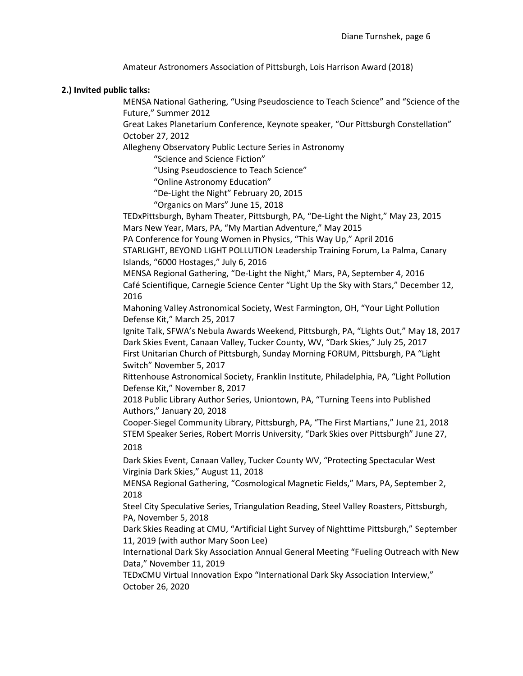Amateur Astronomers Association of Pittsburgh, Lois Harrison Award (2018)

#### **2.) Invited public talks:**

MENSA National Gathering, "Using Pseudoscience to Teach Science" and "Science of the Future," Summer 2012

Great Lakes Planetarium Conference, Keynote speaker, "Our Pittsburgh Constellation" October 27, 2012

Allegheny Observatory Public Lecture Series in Astronomy

"Science and Science Fiction"

"Using Pseudoscience to Teach Science"

"Online Astronomy Education"

"De-Light the Night" February 20, 2015

"Organics on Mars" June 15, 2018

TEDxPittsburgh, Byham Theater, Pittsburgh, PA, "De-Light the Night," May 23, 2015 Mars New Year, Mars, PA, "My Martian Adventure," May 2015

PA Conference for Young Women in Physics, "This Way Up," April 2016

STARLIGHT, BEYOND LIGHT POLLUTION Leadership Training Forum, La Palma, Canary Islands, "6000 Hostages," July 6, 2016

MENSA Regional Gathering, "De-Light the Night," Mars, PA, September 4, 2016 Café Scientifique, Carnegie Science Center "Light Up the Sky with Stars," December 12, 2016

Mahoning Valley Astronomical Society, West Farmington, OH, "Your Light Pollution Defense Kit," March 25, 2017

Ignite Talk, SFWA's Nebula Awards Weekend, Pittsburgh, PA, "Lights Out," May 18, 2017 Dark Skies Event, Canaan Valley, Tucker County, WV, "Dark Skies," July 25, 2017 First Unitarian Church of Pittsburgh, Sunday Morning FORUM, Pittsburgh, PA "Light Switch" November 5, 2017

Rittenhouse Astronomical Society, Franklin Institute, Philadelphia, PA, "Light Pollution Defense Kit," November 8, 2017

2018 Public Library Author Series, Uniontown, PA, "Turning Teens into Published Authors," January 20, 2018

Cooper-Siegel Community Library, Pittsburgh, PA, "The First Martians," June 21, 2018 STEM Speaker Series, Robert Morris University, "Dark Skies over Pittsburgh" June 27, 2018

Dark Skies Event, Canaan Valley, Tucker County WV, "Protecting Spectacular West Virginia Dark Skies," August 11, 2018

MENSA Regional Gathering, "Cosmological Magnetic Fields," Mars, PA, September 2, 2018

Steel City Speculative Series, Triangulation Reading, Steel Valley Roasters, Pittsburgh, PA, November 5, 2018

Dark Skies Reading at CMU, "Artificial Light Survey of Nighttime Pittsburgh," September 11, 2019 (with author Mary Soon Lee)

International Dark Sky Association Annual General Meeting "Fueling Outreach with New Data," November 11, 2019

TEDxCMU Virtual Innovation Expo "International Dark Sky Association Interview," October 26, 2020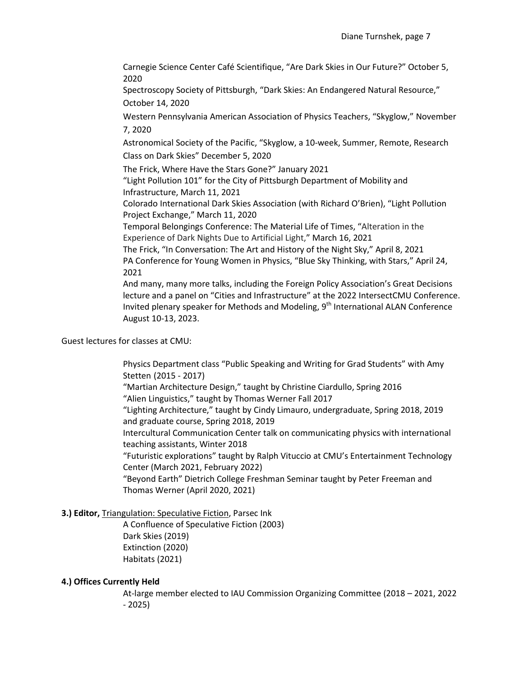Carnegie Science Center Café Scientifique, "Are Dark Skies in Our Future?" October 5, 2020

Spectroscopy Society of Pittsburgh, "Dark Skies: An Endangered Natural Resource," October 14, 2020

Western Pennsylvania American Association of Physics Teachers, "Skyglow," November 7, 2020

Astronomical Society of the Pacific, "Skyglow, a 10-week, Summer, Remote, Research Class on Dark Skies" December 5, 2020

The Frick, Where Have the Stars Gone?" January 2021

"Light Pollution 101" for the City of Pittsburgh Department of Mobility and Infrastructure, March 11, 2021

Colorado International Dark Skies Association (with Richard O'Brien), "Light Pollution Project Exchange," March 11, 2020

Temporal Belongings Conference: The Material Life of Times, "Alteration in the Experience of Dark Nights Due to Artificial Light," March 16, 2021

The Frick, "In Conversation: The Art and History of the Night Sky," April 8, 2021 PA Conference for Young Women in Physics, "Blue Sky Thinking, with Stars," April 24, 2021

And many, many more talks, including the Foreign Policy Association's Great Decisions lecture and a panel on "Cities and Infrastructure" at the 2022 IntersectCMU Conference. Invited plenary speaker for Methods and Modeling,  $9<sup>th</sup>$  International ALAN Conference August 10-13, 2023.

Guest lectures for classes at CMU:

Physics Department class "Public Speaking and Writing for Grad Students" with Amy Stetten (2015 - 2017)

"Martian Architecture Design," taught by Christine Ciardullo, Spring 2016 "Alien Linguistics," taught by Thomas Werner Fall 2017

"Lighting Architecture," taught by Cindy Limauro, undergraduate, Spring 2018, 2019 and graduate course, Spring 2018, 2019

Intercultural Communication Center talk on communicating physics with international teaching assistants, Winter 2018

"Futuristic explorations" taught by Ralph Vituccio at CMU's Entertainment Technology Center (March 2021, February 2022)

"Beyond Earth" Dietrich College Freshman Seminar taught by Peter Freeman and Thomas Werner (April 2020, 2021)

### **3.) Editor,** Triangulation: Speculative Fiction, Parsec Ink

A Confluence of Speculative Fiction (2003) Dark Skies (2019) Extinction (2020) Habitats (2021)

#### **4.) Offices Currently Held**

At-large member elected to IAU Commission Organizing Committee (2018 – 2021, 2022 - 2025)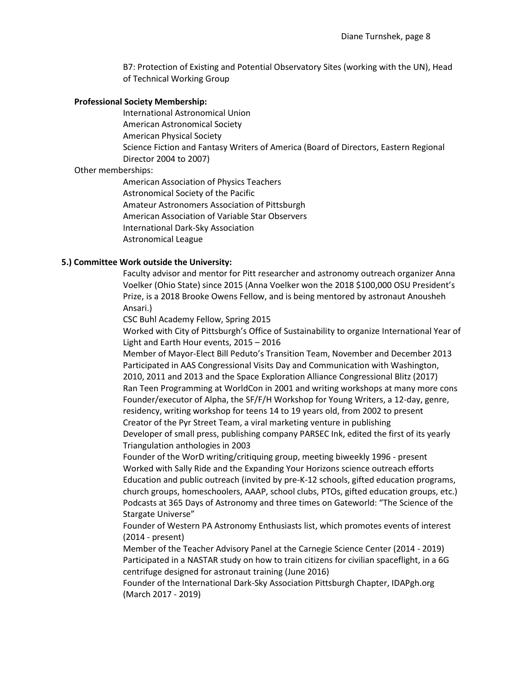B7: Protection of Existing and Potential Observatory Sites (working with the UN), Head of Technical Working Group

#### **Professional Society Membership:**

International Astronomical Union

American Astronomical Society

American Physical Society

Science Fiction and Fantasy Writers of America (Board of Directors, Eastern Regional Director 2004 to 2007)

#### Other memberships:

American Association of Physics Teachers Astronomical Society of the Pacific Amateur Astronomers Association of Pittsburgh American Association of Variable Star Observers International Dark-Sky Association Astronomical League

#### **5.) Committee Work outside the University:**

Faculty advisor and mentor for Pitt researcher and astronomy outreach organizer Anna Voelker (Ohio State) since 2015 (Anna Voelker won the 2018 \$100,000 OSU President's Prize, is a 2018 Brooke Owens Fellow, and is being mentored by astronaut Anousheh Ansari.)

CSC Buhl Academy Fellow, Spring 2015

Worked with City of Pittsburgh's Office of Sustainability to organize International Year of Light and Earth Hour events, 2015 – 2016

Member of Mayor-Elect Bill Peduto's Transition Team, November and December 2013 Participated in AAS Congressional Visits Day and Communication with Washington, 2010, 2011 and 2013 and the Space Exploration Alliance Congressional Blitz (2017) Ran Teen Programming at WorldCon in 2001 and writing workshops at many more cons Founder/executor of Alpha, the SF/F/H Workshop for Young Writers, a 12-day, genre, residency, writing workshop for teens 14 to 19 years old, from 2002 to present Creator of the Pyr Street Team, a viral marketing venture in publishing

Developer of small press, publishing company PARSEC Ink, edited the first of its yearly Triangulation anthologies in 2003

Founder of the WorD writing/critiquing group, meeting biweekly 1996 - present Worked with Sally Ride and the Expanding Your Horizons science outreach efforts Education and public outreach (invited by pre-K-12 schools, gifted education programs, church groups, homeschoolers, AAAP, school clubs, PTOs, gifted education groups, etc.) Podcasts at 365 Days of Astronomy and three times on Gateworld: "The Science of the Stargate Universe"

Founder of Western PA Astronomy Enthusiasts list, which promotes events of interest (2014 - present)

Member of the Teacher Advisory Panel at the Carnegie Science Center (2014 - 2019) Participated in a NASTAR study on how to train citizens for civilian spaceflight, in a 6G centrifuge designed for astronaut training (June 2016)

Founder of the International Dark-Sky Association Pittsburgh Chapter, IDAPgh.org (March 2017 - 2019)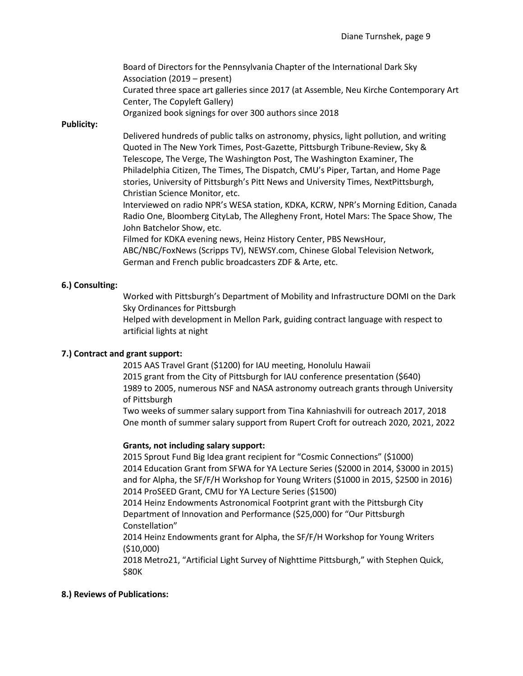Board of Directors for the Pennsylvania Chapter of the International Dark Sky Association (2019 – present) Curated three space art galleries since 2017 (at Assemble, Neu Kirche Contemporary Art Center, The Copyleft Gallery) Organized book signings for over 300 authors since 2018

#### **Publicity:**

Delivered hundreds of public talks on astronomy, physics, light pollution, and writing Quoted in The New York Times, Post-Gazette, Pittsburgh Tribune-Review, Sky & Telescope, The Verge, The Washington Post, The Washington Examiner, The Philadelphia Citizen, The Times, The Dispatch, CMU's Piper, Tartan, and Home Page stories, University of Pittsburgh's Pitt News and University Times, NextPittsburgh, Christian Science Monitor, etc.

Interviewed on radio NPR's WESA station, KDKA, KCRW, NPR's Morning Edition, Canada Radio One, Bloomberg CityLab, The Allegheny Front, Hotel Mars: The Space Show, The John Batchelor Show, etc.

Filmed for KDKA evening news, Heinz History Center, PBS NewsHour, ABC/NBC/FoxNews (Scripps TV), NEWSY.com, Chinese Global Television Network, German and French public broadcasters ZDF & Arte, etc.

### **6.) Consulting:**

Worked with Pittsburgh's Department of Mobility and Infrastructure DOMI on the Dark Sky Ordinances for Pittsburgh

Helped with development in Mellon Park, guiding contract language with respect to artificial lights at night

### **7.) Contract and grant support:**

2015 AAS Travel Grant (\$1200) for IAU meeting, Honolulu Hawaii 2015 grant from the City of Pittsburgh for IAU conference presentation (\$640) 1989 to 2005, numerous NSF and NASA astronomy outreach grants through University of Pittsburgh

Two weeks of summer salary support from Tina Kahniashvili for outreach 2017, 2018 One month of summer salary support from Rupert Croft for outreach 2020, 2021, 2022

#### **Grants, not including salary support:**

2015 Sprout Fund Big Idea grant recipient for "Cosmic Connections" (\$1000) 2014 Education Grant from SFWA for YA Lecture Series (\$2000 in 2014, \$3000 in 2015) and for Alpha, the SF/F/H Workshop for Young Writers (\$1000 in 2015, \$2500 in 2016) 2014 ProSEED Grant, CMU for YA Lecture Series (\$1500)

2014 Heinz Endowments Astronomical Footprint grant with the Pittsburgh City Department of Innovation and Performance (\$25,000) for "Our Pittsburgh Constellation"

2014 Heinz Endowments grant for Alpha, the SF/F/H Workshop for Young Writers (\$10,000)

2018 Metro21, "Artificial Light Survey of Nighttime Pittsburgh," with Stephen Quick, \$80K

### **8.) Reviews of Publications:**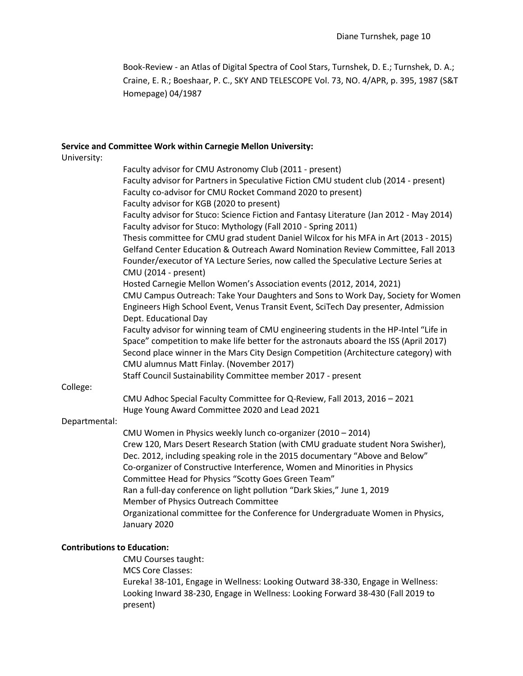Book-Review - an Atlas of Digital Spectra of Cool Stars, Turnshek, D. E.; Turnshek, D. A.; Craine, E. R.; Boeshaar, P. C., SKY AND TELESCOPE Vol. 73, NO. 4/APR, p. 395, 1987 [\(S&T](http://www.skypub.org/)  [Homepage\)](http://www.skypub.org/) 04/1987

#### **Service and Committee Work within Carnegie Mellon University:**

University: Faculty advisor for CMU Astronomy Club (2011 - present) Faculty advisor for Partners in Speculative Fiction CMU student club (2014 - present) Faculty co-advisor for CMU Rocket Command 2020 to present) Faculty advisor for KGB (2020 to present) Faculty advisor for Stuco: Science Fiction and Fantasy Literature (Jan 2012 - May 2014) Faculty advisor for Stuco: Mythology (Fall 2010 - Spring 2011) Thesis committee for CMU grad student Daniel Wilcox for his MFA in Art (2013 - 2015) Gelfand Center Education & Outreach Award Nomination Review Committee, Fall 2013 Founder/executor of YA Lecture Series, now called the Speculative Lecture Series at CMU (2014 - present) Hosted Carnegie Mellon Women's Association events (2012, 2014, 2021) CMU Campus Outreach: Take Your Daughters and Sons to Work Day, Society for Women Engineers High School Event, Venus Transit Event, SciTech Day presenter, Admission Dept. Educational Day Faculty advisor for winning team of CMU engineering students in the HP-Intel "Life in Space" competition to make life better for the astronauts aboard the ISS (April 2017) Second place winner in the Mars City Design Competition (Architecture category) with CMU alumnus Matt Finlay. (November 2017) Staff Council Sustainability Committee member 2017 - present College: CMU Adhoc Special Faculty Committee for Q-Review, Fall 2013, 2016 – 2021 Huge Young Award Committee 2020 and Lead 2021 Departmental: CMU Women in Physics weekly lunch co-organizer (2010 – 2014) Crew 120, Mars Desert Research Station (with CMU graduate student Nora Swisher), Dec. 2012, including speaking role in the 2015 documentary "Above and Below" Co-organizer of Constructive Interference, Women and Minorities in Physics Committee Head for Physics "Scotty Goes Green Team" Ran a full-day conference on light pollution "Dark Skies," June 1, 2019 Member of Physics Outreach Committee Organizational committee for the Conference for Undergraduate Women in Physics, January 2020

### **Contributions to Education:**

CMU Courses taught: MCS Core Classes: Eureka! 38-101, Engage in Wellness: Looking Outward 38-330, Engage in Wellness: Looking Inward 38-230, Engage in Wellness: Looking Forward 38-430 (Fall 2019 to present)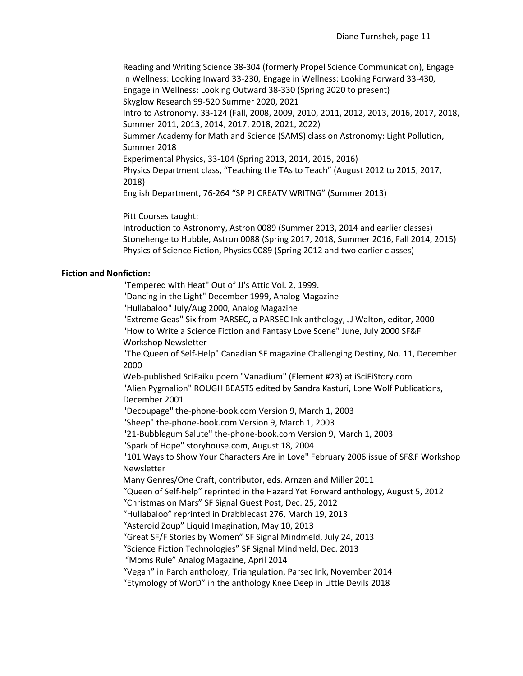Reading and Writing Science 38-304 (formerly Propel Science Communication), Engage in Wellness: Looking Inward 33-230, Engage in Wellness: Looking Forward 33-430, Engage in Wellness: Looking Outward 38-330 (Spring 2020 to present) Skyglow Research 99-520 Summer 2020, 2021 Intro to Astronomy, 33-124 (Fall, 2008, 2009, 2010, 2011, 2012, 2013, 2016, 2017, 2018, Summer 2011, 2013, 2014, 2017, 2018, 2021, 2022) Summer Academy for Math and Science (SAMS) class on Astronomy: Light Pollution, Summer 2018 Experimental Physics, 33-104 (Spring 2013, 2014, 2015, 2016) Physics Department class, "Teaching the TAs to Teach" (August 2012 to 2015, 2017, 2018) English Department, 76-264 "SP PJ CREATV WRITNG" (Summer 2013)

Pitt Courses taught:

Introduction to Astronomy, Astron 0089 (Summer 2013, 2014 and earlier classes) Stonehenge to Hubble, Astron 0088 (Spring 2017, 2018, Summer 2016, Fall 2014, 2015) Physics of Science Fiction, Physics 0089 (Spring 2012 and two earlier classes)

#### **Fiction and Nonfiction:**

"Tempered with Heat" Out of JJ's Attic Vol. 2, 1999.

"Dancing in the Light" December 1999, Analog Magazine

"Hullabaloo" July/Aug 2000, Analog Magazine

"Extreme Geas" Six from PARSEC, a PARSEC Ink anthology, JJ Walton, editor, 2000

"How to Write a Science Fiction and Fantasy Love Scene" June, July 2000 SF&F Workshop Newsletter

"The Queen of Self-Help" Canadian SF magazine Challenging Destiny, No. 11, December 2000

Web-published SciFaiku poem "Vanadium" (Element #23) at iSciFiStory.com "Alien Pygmalion" ROUGH BEASTS edited by Sandra Kasturi, Lone Wolf Publications, December 2001

"Decoupage" the-phone-book.com Version 9, March 1, 2003

"Sheep" the-phone-book.com Version 9, March 1, 2003

"21-Bubblegum Salute" the-phone-book.com Version 9, March 1, 2003

"Spark of Hope" storyhouse.com, August 18, 2004

["101 Ways to Show Your Characters Are in](http://userpages.burgoyne.com/workshop/sffw292.pdf) Love" February 2006 issue of SF&F Workshop Newsletter

Many Genres/One Craft, contributor, eds. Arnzen and Miller 2011

"Queen of Self-help" reprinted in the Hazard Yet Forward anthology, August 5, 2012

"Christmas on Mars" SF Signal Guest Post, Dec. 25, 2012

"Hullabaloo" reprinted in Drabblecast 276, March 19, 2013

"Asteroid Zoup" Liquid Imagination, May 10, 2013

"Great SF/F Stories by Women" SF Signal Mindmeld, July 24, 2013

"Science Fiction Technologies" SF Signal Mindmeld, Dec. 2013

"Moms Rule" Analog Magazine, April 2014

"Vegan" in Parch anthology, Triangulation, Parsec Ink, November 2014

"Etymology of WorD" in the anthology Knee Deep in Little Devils 2018